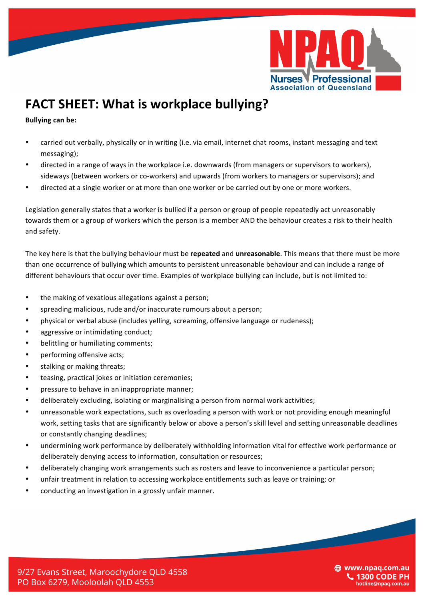

## **FACT SHEET: What is workplace bullying?**

**Bullying can be:** 

- carried out verbally, physically or in writing (i.e. via email, internet chat rooms, instant messaging and text messaging);
- directed in a range of ways in the workplace i.e. downwards (from managers or supervisors to workers), sideways (between workers or co-workers) and upwards (from workers to managers or supervisors); and
- directed at a single worker or at more than one worker or be carried out by one or more workers.

Legislation generally states that a worker is bullied if a person or group of people repeatedly act unreasonably towards them or a group of workers which the person is a member AND the behaviour creates a risk to their health and safety.

The key here is that the bullying behaviour must be **repeated** and **unreasonable**. This means that there must be more than one occurrence of bullying which amounts to persistent unreasonable behaviour and can include a range of different behaviours that occur over time. Examples of workplace bullying can include, but is not limited to:

- the making of vexatious allegations against a person;
- spreading malicious, rude and/or inaccurate rumours about a person;
- physical or verbal abuse (includes yelling, screaming, offensive language or rudeness);
- aggressive or intimidating conduct:
- belittling or humiliating comments;
- performing offensive acts;
- stalking or making threats;
- teasing, practical jokes or initiation ceremonies;
- pressure to behave in an inappropriate manner;
- deliberately excluding, isolating or marginalising a person from normal work activities;
- unreasonable work expectations, such as overloading a person with work or not providing enough meaningful work, setting tasks that are significantly below or above a person's skill level and setting unreasonable deadlines or constantly changing deadlines;
- undermining work performance by deliberately withholding information vital for effective work performance or deliberately denying access to information, consultation or resources;
- deliberately changing work arrangements such as rosters and leave to inconvenience a particular person;
- unfair treatment in relation to accessing workplace entitlements such as leave or training; or
- conducting an investigation in a grossly unfair manner.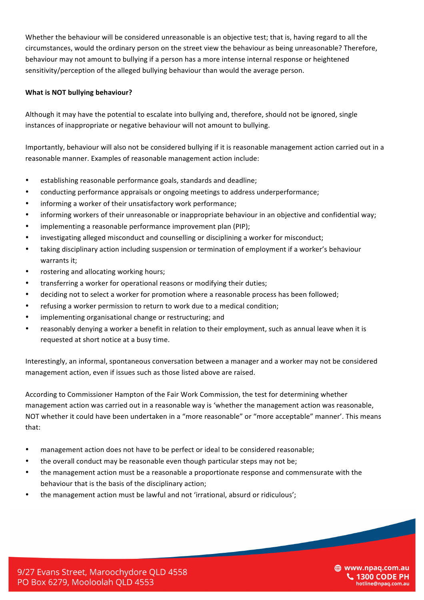Whether the behaviour will be considered unreasonable is an objective test; that is, having regard to all the circumstances, would the ordinary person on the street view the behaviour as being unreasonable? Therefore, behaviour may not amount to bullying if a person has a more intense internal response or heightened sensitivity/perception of the alleged bullying behaviour than would the average person.

## **What is NOT bullying behaviour?**

Although it may have the potential to escalate into bullying and, therefore, should not be ignored, single instances of inappropriate or negative behaviour will not amount to bullying.

Importantly, behaviour will also not be considered bullying if it is reasonable management action carried out in a reasonable manner. Examples of reasonable management action include:

- establishing reasonable performance goals, standards and deadline;
- conducting performance appraisals or ongoing meetings to address underperformance;
- informing a worker of their unsatisfactory work performance;
- informing workers of their unreasonable or inappropriate behaviour in an objective and confidential way;
- implementing a reasonable performance improvement plan (PIP);
- investigating alleged misconduct and counselling or disciplining a worker for misconduct;
- taking disciplinary action including suspension or termination of employment if a worker's behaviour warrants it;
- rostering and allocating working hours;
- transferring a worker for operational reasons or modifying their duties;
- deciding not to select a worker for promotion where a reasonable process has been followed;
- refusing a worker permission to return to work due to a medical condition;
- implementing organisational change or restructuring; and
- reasonably denying a worker a benefit in relation to their employment, such as annual leave when it is requested at short notice at a busy time.

Interestingly, an informal, spontaneous conversation between a manager and a worker may not be considered management action, even if issues such as those listed above are raised.

According to Commissioner Hampton of the Fair Work Commission, the test for determining whether management action was carried out in a reasonable way is 'whether the management action was reasonable, NOT whether it could have been undertaken in a "more reasonable" or "more acceptable" manner'. This means that:

- management action does not have to be perfect or ideal to be considered reasonable;
- the overall conduct may be reasonable even though particular steps may not be;
- the management action must be a reasonable a proportionate response and commensurate with the behaviour that is the basis of the disciplinary action;
- the management action must be lawful and not 'irrational, absurd or ridiculous';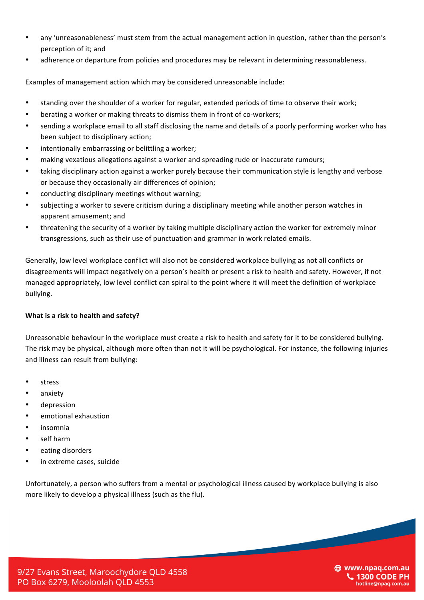- any 'unreasonableness' must stem from the actual management action in question, rather than the person's perception of it; and
- adherence or departure from policies and procedures may be relevant in determining reasonableness.

Examples of management action which may be considered unreasonable include:

- standing over the shoulder of a worker for regular, extended periods of time to observe their work;
- berating a worker or making threats to dismiss them in front of co-workers;
- sending a workplace email to all staff disclosing the name and details of a poorly performing worker who has been subject to disciplinary action;
- intentionally embarrassing or belittling a worker;
- making vexatious allegations against a worker and spreading rude or inaccurate rumours;
- taking disciplinary action against a worker purely because their communication style is lengthy and verbose or because they occasionally air differences of opinion;
- conducting disciplinary meetings without warning;
- subjecting a worker to severe criticism during a disciplinary meeting while another person watches in apparent amusement; and
- threatening the security of a worker by taking multiple disciplinary action the worker for extremely minor transgressions, such as their use of punctuation and grammar in work related emails.

Generally, low level workplace conflict will also not be considered workplace bullying as not all conflicts or disagreements will impact negatively on a person's health or present a risk to health and safety. However, if not managed appropriately, low level conflict can spiral to the point where it will meet the definition of workplace bullying.

## **What is a risk to health and safety?**

Unreasonable behaviour in the workplace must create a risk to health and safety for it to be considered bullying. The risk may be physical, although more often than not it will be psychological. For instance, the following injuries and illness can result from bullying:

- **stress**
- anxiety
- depression
- emotional exhaustion
- insomnia
- self harm
- eating disorders
- in extreme cases, suicide

Unfortunately, a person who suffers from a mental or psychological illness caused by workplace bullying is also more likely to develop a physical illness (such as the flu).

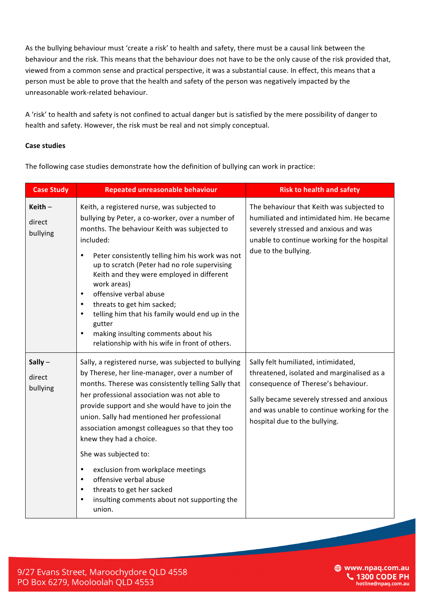As the bullying behaviour must 'create a risk' to health and safety, there must be a causal link between the behaviour and the risk. This means that the behaviour does not have to be the only cause of the risk provided that, viewed from a common sense and practical perspective, it was a substantial cause. In effect, this means that a person must be able to prove that the health and safety of the person was negatively impacted by the unreasonable work-related behaviour.

A 'risk' to health and safety is not confined to actual danger but is satisfied by the mere possibility of danger to health and safety. However, the risk must be real and not simply conceptual.

## **Case studies**

The following case studies demonstrate how the definition of bullying can work in practice:

| <b>Case Study</b>               | <b>Repeated unreasonable behaviour</b>                                                                                                                                                                                                                                                                                                                                                                                                                                                                                                                                                                                         | <b>Risk to health and safety</b>                                                                                                                                                                                                                      |
|---------------------------------|--------------------------------------------------------------------------------------------------------------------------------------------------------------------------------------------------------------------------------------------------------------------------------------------------------------------------------------------------------------------------------------------------------------------------------------------------------------------------------------------------------------------------------------------------------------------------------------------------------------------------------|-------------------------------------------------------------------------------------------------------------------------------------------------------------------------------------------------------------------------------------------------------|
| Keith $-$<br>direct<br>bullying | Keith, a registered nurse, was subjected to<br>bullying by Peter, a co-worker, over a number of<br>months. The behaviour Keith was subjected to<br>included:<br>Peter consistently telling him his work was not<br>$\bullet$<br>up to scratch (Peter had no role supervising<br>Keith and they were employed in different<br>work areas)<br>offensive verbal abuse<br>$\bullet$<br>threats to get him sacked;<br>$\bullet$<br>telling him that his family would end up in the<br>$\bullet$<br>gutter<br>making insulting comments about his<br>$\bullet$<br>relationship with his wife in front of others.                     | The behaviour that Keith was subjected to<br>humiliated and intimidated him. He became<br>severely stressed and anxious and was<br>unable to continue working for the hospital<br>due to the bullying.                                                |
| Sally $-$<br>direct<br>bullying | Sally, a registered nurse, was subjected to bullying<br>by Therese, her line-manager, over a number of<br>months. Therese was consistently telling Sally that<br>her professional association was not able to<br>provide support and she would have to join the<br>union. Sally had mentioned her professional<br>association amongst colleagues so that they too<br>knew they had a choice.<br>She was subjected to:<br>exclusion from workplace meetings<br>$\bullet$<br>offensive verbal abuse<br>$\bullet$<br>threats to get her sacked<br>$\bullet$<br>insulting comments about not supporting the<br>$\bullet$<br>union. | Sally felt humiliated, intimidated,<br>threatened, isolated and marginalised as a<br>consequence of Therese's behaviour.<br>Sally became severely stressed and anxious<br>and was unable to continue working for the<br>hospital due to the bullying. |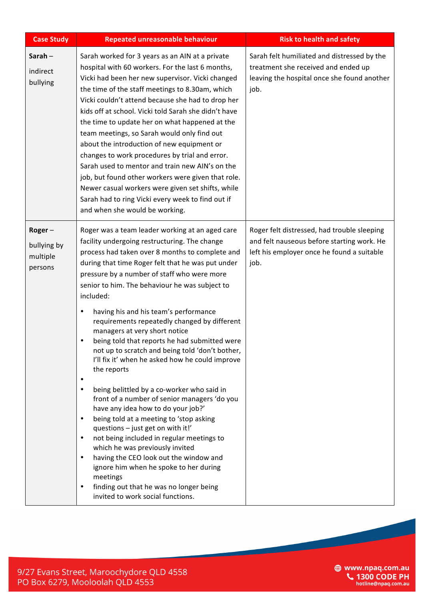| <b>Case Study</b>                            | <b>Repeated unreasonable behaviour</b>                                                                                                                                                                                                                                                                                                                                                                                                                                                                                                                                                                                                                                                                                                                                                                                                                                                                                                                                                                                                                                                    | <b>Risk to health and safety</b>                                                                                                                |
|----------------------------------------------|-------------------------------------------------------------------------------------------------------------------------------------------------------------------------------------------------------------------------------------------------------------------------------------------------------------------------------------------------------------------------------------------------------------------------------------------------------------------------------------------------------------------------------------------------------------------------------------------------------------------------------------------------------------------------------------------------------------------------------------------------------------------------------------------------------------------------------------------------------------------------------------------------------------------------------------------------------------------------------------------------------------------------------------------------------------------------------------------|-------------------------------------------------------------------------------------------------------------------------------------------------|
| Sarah-<br>indirect<br>bullying               | Sarah worked for 3 years as an AIN at a private<br>hospital with 60 workers. For the last 6 months,<br>Vicki had been her new supervisor. Vicki changed<br>the time of the staff meetings to 8.30am, which<br>Vicki couldn't attend because she had to drop her<br>kids off at school. Vicki told Sarah she didn't have<br>the time to update her on what happened at the<br>team meetings, so Sarah would only find out<br>about the introduction of new equipment or<br>changes to work procedures by trial and error.<br>Sarah used to mentor and train new AIN's on the<br>job, but found other workers were given that role.<br>Newer casual workers were given set shifts, while<br>Sarah had to ring Vicki every week to find out if<br>and when she would be working.                                                                                                                                                                                                                                                                                                             | Sarah felt humiliated and distressed by the<br>treatment she received and ended up<br>leaving the hospital once she found another<br>job.       |
| Roger-<br>bullying by<br>multiple<br>persons | Roger was a team leader working at an aged care<br>facility undergoing restructuring. The change<br>process had taken over 8 months to complete and<br>during that time Roger felt that he was put under<br>pressure by a number of staff who were more<br>senior to him. The behaviour he was subject to<br>included:<br>having his and his team's performance<br>٠<br>requirements repeatedly changed by different<br>managers at very short notice<br>being told that reports he had submitted were<br>$\bullet$<br>not up to scratch and being told 'don't bother,<br>I'll fix it' when he asked how he could improve<br>the reports<br>$\bullet$<br>being belittled by a co-worker who said in<br>$\bullet$<br>front of a number of senior managers 'do you<br>have any idea how to do your job?'<br>being told at a meeting to 'stop asking<br>٠<br>questions - just get on with it!'<br>not being included in regular meetings to<br>$\bullet$<br>which he was previously invited<br>having the CEO look out the window and<br>$\bullet$<br>ignore him when he spoke to her during | Roger felt distressed, had trouble sleeping<br>and felt nauseous before starting work. He<br>left his employer once he found a suitable<br>job. |
|                                              | meetings<br>finding out that he was no longer being<br>$\bullet$<br>invited to work social functions.                                                                                                                                                                                                                                                                                                                                                                                                                                                                                                                                                                                                                                                                                                                                                                                                                                                                                                                                                                                     |                                                                                                                                                 |